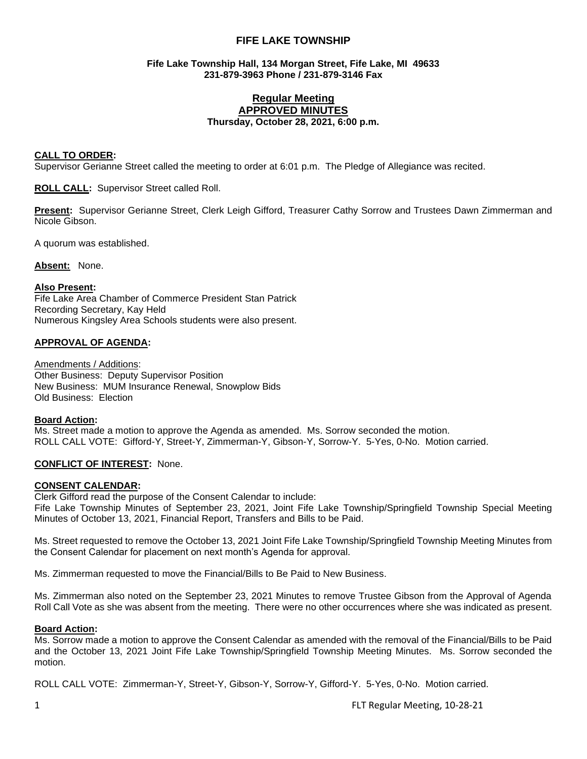## **FIFE LAKE TOWNSHIP**

## **Fife Lake Township Hall, 134 Morgan Street, Fife Lake, MI 49633 231-879-3963 Phone / 231-879-3146 Fax**

## **Regular Meeting APPROVED MINUTES Thursday, October 28, 2021, 6:00 p.m.**

#### **CALL TO ORDER:**

Supervisor Gerianne Street called the meeting to order at 6:01 p.m. The Pledge of Allegiance was recited.

**ROLL CALL:** Supervisor Street called Roll.

**Present:** Supervisor Gerianne Street, Clerk Leigh Gifford, Treasurer Cathy Sorrow and Trustees Dawn Zimmerman and Nicole Gibson.

A quorum was established.

**Absent:** None.

#### **Also Present:**

Fife Lake Area Chamber of Commerce President Stan Patrick Recording Secretary, Kay Held Numerous Kingsley Area Schools students were also present.

#### **APPROVAL OF AGENDA:**

Amendments / Additions: Other Business: Deputy Supervisor Position New Business: MUM Insurance Renewal, Snowplow Bids Old Business: Election

#### **Board Action:**

Ms. Street made a motion to approve the Agenda as amended. Ms. Sorrow seconded the motion. ROLL CALL VOTE: Gifford-Y, Street-Y, Zimmerman-Y, Gibson-Y, Sorrow-Y. 5-Yes, 0-No. Motion carried.

## **CONFLICT OF INTEREST:** None.

#### **CONSENT CALENDAR:**

Clerk Gifford read the purpose of the Consent Calendar to include: Fife Lake Township Minutes of September 23, 2021, Joint Fife Lake Township/Springfield Township Special Meeting Minutes of October 13, 2021, Financial Report, Transfers and Bills to be Paid.

Ms. Street requested to remove the October 13, 2021 Joint Fife Lake Township/Springfield Township Meeting Minutes from the Consent Calendar for placement on next month's Agenda for approval.

Ms. Zimmerman requested to move the Financial/Bills to Be Paid to New Business.

Ms. Zimmerman also noted on the September 23, 2021 Minutes to remove Trustee Gibson from the Approval of Agenda Roll Call Vote as she was absent from the meeting. There were no other occurrences where she was indicated as present.

#### **Board Action:**

Ms. Sorrow made a motion to approve the Consent Calendar as amended with the removal of the Financial/Bills to be Paid and the October 13, 2021 Joint Fife Lake Township/Springfield Township Meeting Minutes. Ms. Sorrow seconded the motion.

ROLL CALL VOTE: Zimmerman-Y, Street-Y, Gibson-Y, Sorrow-Y, Gifford-Y. 5-Yes, 0-No. Motion carried.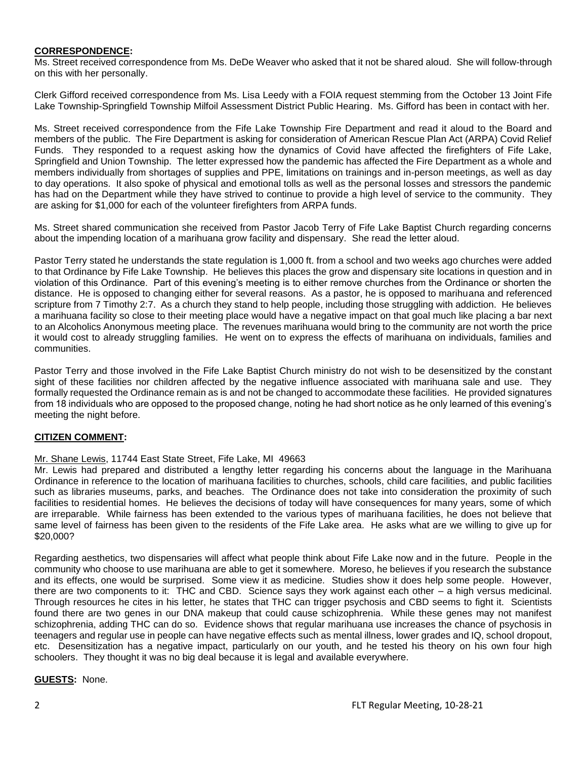## **CORRESPONDENCE:**

Ms. Street received correspondence from Ms. DeDe Weaver who asked that it not be shared aloud. She will follow-through on this with her personally.

Clerk Gifford received correspondence from Ms. Lisa Leedy with a FOIA request stemming from the October 13 Joint Fife Lake Township-Springfield Township Milfoil Assessment District Public Hearing. Ms. Gifford has been in contact with her.

Ms. Street received correspondence from the Fife Lake Township Fire Department and read it aloud to the Board and members of the public. The Fire Department is asking for consideration of American Rescue Plan Act (ARPA) Covid Relief Funds. They responded to a request asking how the dynamics of Covid have affected the firefighters of Fife Lake, Springfield and Union Township. The letter expressed how the pandemic has affected the Fire Department as a whole and members individually from shortages of supplies and PPE, limitations on trainings and in-person meetings, as well as day to day operations. It also spoke of physical and emotional tolls as well as the personal losses and stressors the pandemic has had on the Department while they have strived to continue to provide a high level of service to the community. They are asking for \$1,000 for each of the volunteer firefighters from ARPA funds.

Ms. Street shared communication she received from Pastor Jacob Terry of Fife Lake Baptist Church regarding concerns about the impending location of a marihuana grow facility and dispensary. She read the letter aloud.

Pastor Terry stated he understands the state regulation is 1,000 ft. from a school and two weeks ago churches were added to that Ordinance by Fife Lake Township. He believes this places the grow and dispensary site locations in question and in violation of this Ordinance. Part of this evening's meeting is to either remove churches from the Ordinance or shorten the distance. He is opposed to changing either for several reasons. As a pastor, he is opposed to marihuana and referenced scripture from 7 Timothy 2:7. As a church they stand to help people, including those struggling with addiction. He believes a marihuana facility so close to their meeting place would have a negative impact on that goal much like placing a bar next to an Alcoholics Anonymous meeting place. The revenues marihuana would bring to the community are not worth the price it would cost to already struggling families. He went on to express the effects of marihuana on individuals, families and communities.

Pastor Terry and those involved in the Fife Lake Baptist Church ministry do not wish to be desensitized by the constant sight of these facilities nor children affected by the negative influence associated with marihuana sale and use. They formally requested the Ordinance remain as is and not be changed to accommodate these facilities. He provided signatures from 18 individuals who are opposed to the proposed change, noting he had short notice as he only learned of this evening's meeting the night before.

## **CITIZEN COMMENT:**

## Mr. Shane Lewis, 11744 East State Street, Fife Lake, MI 49663

Mr. Lewis had prepared and distributed a lengthy letter regarding his concerns about the language in the Marihuana Ordinance in reference to the location of marihuana facilities to churches, schools, child care facilities, and public facilities such as libraries museums, parks, and beaches. The Ordinance does not take into consideration the proximity of such facilities to residential homes. He believes the decisions of today will have consequences for many years, some of which are irreparable. While fairness has been extended to the various types of marihuana facilities, he does not believe that same level of fairness has been given to the residents of the Fife Lake area. He asks what are we willing to give up for \$20,000?

Regarding aesthetics, two dispensaries will affect what people think about Fife Lake now and in the future. People in the community who choose to use marihuana are able to get it somewhere. Moreso, he believes if you research the substance and its effects, one would be surprised. Some view it as medicine. Studies show it does help some people. However, there are two components to it: THC and CBD. Science says they work against each other – a high versus medicinal. Through resources he cites in his letter, he states that THC can trigger psychosis and CBD seems to fight it. Scientists found there are two genes in our DNA makeup that could cause schizophrenia. While these genes may not manifest schizophrenia, adding THC can do so. Evidence shows that regular marihuana use increases the chance of psychosis in teenagers and regular use in people can have negative effects such as mental illness, lower grades and IQ, school dropout, etc. Desensitization has a negative impact, particularly on our youth, and he tested his theory on his own four high schoolers. They thought it was no big deal because it is legal and available everywhere.

## **GUESTS:** None.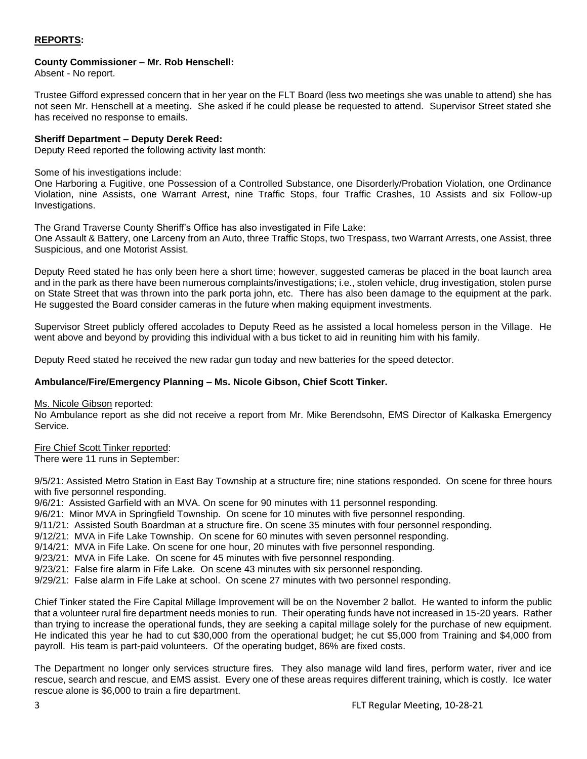## **REPORTS:**

## **County Commissioner – Mr. Rob Henschell:**

Absent - No report.

Trustee Gifford expressed concern that in her year on the FLT Board (less two meetings she was unable to attend) she has not seen Mr. Henschell at a meeting. She asked if he could please be requested to attend. Supervisor Street stated she has received no response to emails.

## **Sheriff Department – Deputy Derek Reed:**

Deputy Reed reported the following activity last month:

Some of his investigations include:

One Harboring a Fugitive, one Possession of a Controlled Substance, one Disorderly/Probation Violation, one Ordinance Violation, nine Assists, one Warrant Arrest, nine Traffic Stops, four Traffic Crashes, 10 Assists and six Follow-up Investigations.

The Grand Traverse County Sheriff's Office has also investigated in Fife Lake:

One Assault & Battery, one Larceny from an Auto, three Traffic Stops, two Trespass, two Warrant Arrests, one Assist, three Suspicious, and one Motorist Assist.

Deputy Reed stated he has only been here a short time; however, suggested cameras be placed in the boat launch area and in the park as there have been numerous complaints/investigations; i.e., stolen vehicle, drug investigation, stolen purse on State Street that was thrown into the park porta john, etc. There has also been damage to the equipment at the park. He suggested the Board consider cameras in the future when making equipment investments.

Supervisor Street publicly offered accolades to Deputy Reed as he assisted a local homeless person in the Village. He went above and beyond by providing this individual with a bus ticket to aid in reuniting him with his family.

Deputy Reed stated he received the new radar gun today and new batteries for the speed detector.

## **Ambulance/Fire/Emergency Planning – Ms. Nicole Gibson, Chief Scott Tinker.**

Ms. Nicole Gibson reported:

No Ambulance report as she did not receive a report from Mr. Mike Berendsohn, EMS Director of Kalkaska Emergency Service.

## Fire Chief Scott Tinker reported:

There were 11 runs in September:

9/5/21: Assisted Metro Station in East Bay Township at a structure fire; nine stations responded. On scene for three hours with five personnel responding.

9/6/21: Assisted Garfield with an MVA. On scene for 90 minutes with 11 personnel responding.

9/6/21: Minor MVA in Springfield Township. On scene for 10 minutes with five personnel responding.

9/11/21: Assisted South Boardman at a structure fire. On scene 35 minutes with four personnel responding.

9/12/21: MVA in Fife Lake Township. On scene for 60 minutes with seven personnel responding.

9/14/21: MVA in Fife Lake. On scene for one hour, 20 minutes with five personnel responding.

9/23/21: MVA in Fife Lake. On scene for 45 minutes with five personnel responding.

9/23/21: False fire alarm in Fife Lake. On scene 43 minutes with six personnel responding.

9/29/21: False alarm in Fife Lake at school. On scene 27 minutes with two personnel responding.

Chief Tinker stated the Fire Capital Millage Improvement will be on the November 2 ballot. He wanted to inform the public that a volunteer rural fire department needs monies to run. Their operating funds have not increased in 15-20 years. Rather than trying to increase the operational funds, they are seeking a capital millage solely for the purchase of new equipment. He indicated this year he had to cut \$30,000 from the operational budget; he cut \$5,000 from Training and \$4,000 from payroll. His team is part-paid volunteers. Of the operating budget, 86% are fixed costs.

The Department no longer only services structure fires. They also manage wild land fires, perform water, river and ice rescue, search and rescue, and EMS assist. Every one of these areas requires different training, which is costly. Ice water rescue alone is \$6,000 to train a fire department.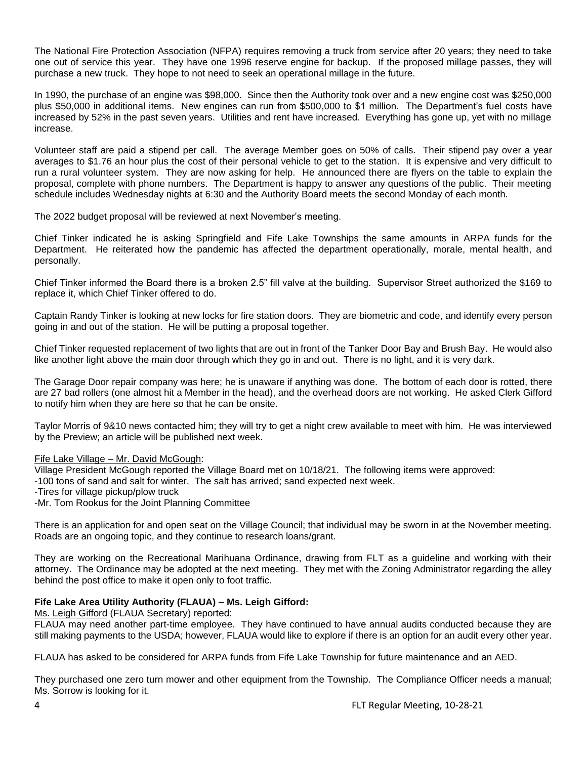The National Fire Protection Association (NFPA) requires removing a truck from service after 20 years; they need to take one out of service this year. They have one 1996 reserve engine for backup. If the proposed millage passes, they will purchase a new truck. They hope to not need to seek an operational millage in the future.

In 1990, the purchase of an engine was \$98,000. Since then the Authority took over and a new engine cost was \$250,000 plus \$50,000 in additional items. New engines can run from \$500,000 to \$1 million. The Department's fuel costs have increased by 52% in the past seven years. Utilities and rent have increased. Everything has gone up, yet with no millage increase.

Volunteer staff are paid a stipend per call. The average Member goes on 50% of calls. Their stipend pay over a year averages to \$1.76 an hour plus the cost of their personal vehicle to get to the station. It is expensive and very difficult to run a rural volunteer system. They are now asking for help. He announced there are flyers on the table to explain the proposal, complete with phone numbers. The Department is happy to answer any questions of the public. Their meeting schedule includes Wednesday nights at 6:30 and the Authority Board meets the second Monday of each month.

The 2022 budget proposal will be reviewed at next November's meeting.

Chief Tinker indicated he is asking Springfield and Fife Lake Townships the same amounts in ARPA funds for the Department. He reiterated how the pandemic has affected the department operationally, morale, mental health, and personally.

Chief Tinker informed the Board there is a broken 2.5" fill valve at the building. Supervisor Street authorized the \$169 to replace it, which Chief Tinker offered to do.

Captain Randy Tinker is looking at new locks for fire station doors. They are biometric and code, and identify every person going in and out of the station. He will be putting a proposal together.

Chief Tinker requested replacement of two lights that are out in front of the Tanker Door Bay and Brush Bay. He would also like another light above the main door through which they go in and out. There is no light, and it is very dark.

The Garage Door repair company was here; he is unaware if anything was done. The bottom of each door is rotted, there are 27 bad rollers (one almost hit a Member in the head), and the overhead doors are not working. He asked Clerk Gifford to notify him when they are here so that he can be onsite.

Taylor Morris of 9&10 news contacted him; they will try to get a night crew available to meet with him. He was interviewed by the Preview; an article will be published next week.

## Fife Lake Village – Mr. David McGough:

Village President McGough reported the Village Board met on 10/18/21. The following items were approved:

-100 tons of sand and salt for winter. The salt has arrived; sand expected next week.

-Tires for village pickup/plow truck

-Mr. Tom Rookus for the Joint Planning Committee

There is an application for and open seat on the Village Council; that individual may be sworn in at the November meeting. Roads are an ongoing topic, and they continue to research loans/grant.

They are working on the Recreational Marihuana Ordinance, drawing from FLT as a guideline and working with their attorney. The Ordinance may be adopted at the next meeting. They met with the Zoning Administrator regarding the alley behind the post office to make it open only to foot traffic.

## **Fife Lake Area Utility Authority (FLAUA) – Ms. Leigh Gifford:**

Ms. Leigh Gifford (FLAUA Secretary) reported:

FLAUA may need another part-time employee. They have continued to have annual audits conducted because they are still making payments to the USDA; however, FLAUA would like to explore if there is an option for an audit every other year.

FLAUA has asked to be considered for ARPA funds from Fife Lake Township for future maintenance and an AED.

They purchased one zero turn mower and other equipment from the Township. The Compliance Officer needs a manual; Ms. Sorrow is looking for it.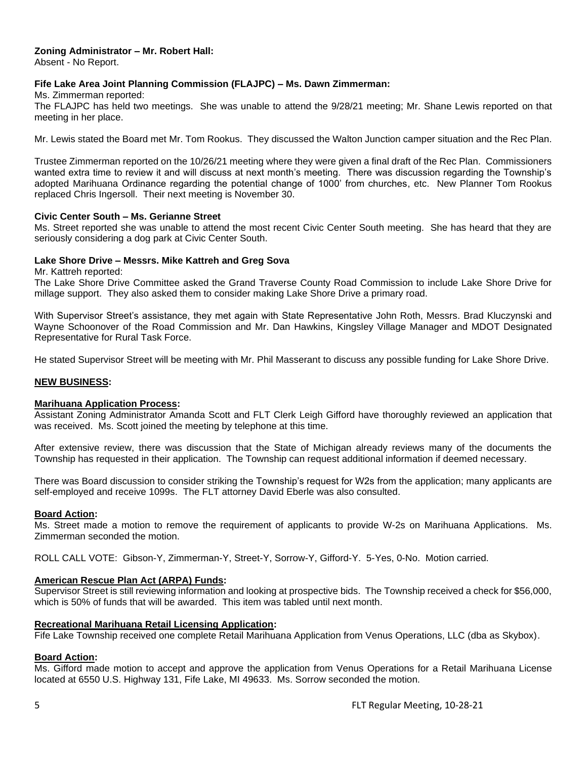# **Zoning Administrator – Mr. Robert Hall:**

Absent - No Report.

## **Fife Lake Area Joint Planning Commission (FLAJPC) – Ms. Dawn Zimmerman:**

Ms. Zimmerman reported:

The FLAJPC has held two meetings. She was unable to attend the 9/28/21 meeting; Mr. Shane Lewis reported on that meeting in her place.

Mr. Lewis stated the Board met Mr. Tom Rookus. They discussed the Walton Junction camper situation and the Rec Plan.

Trustee Zimmerman reported on the 10/26/21 meeting where they were given a final draft of the Rec Plan. Commissioners wanted extra time to review it and will discuss at next month's meeting. There was discussion regarding the Township's adopted Marihuana Ordinance regarding the potential change of 1000' from churches, etc. New Planner Tom Rookus replaced Chris Ingersoll. Their next meeting is November 30.

## **Civic Center South – Ms. Gerianne Street**

Ms. Street reported she was unable to attend the most recent Civic Center South meeting. She has heard that they are seriously considering a dog park at Civic Center South.

#### **Lake Shore Drive – Messrs. Mike Kattreh and Greg Sova**

Mr. Kattreh reported:

The Lake Shore Drive Committee asked the Grand Traverse County Road Commission to include Lake Shore Drive for millage support. They also asked them to consider making Lake Shore Drive a primary road.

With Supervisor Street's assistance, they met again with State Representative John Roth, Messrs. Brad Kluczynski and Wayne Schoonover of the Road Commission and Mr. Dan Hawkins, Kingsley Village Manager and MDOT Designated Representative for Rural Task Force.

He stated Supervisor Street will be meeting with Mr. Phil Masserant to discuss any possible funding for Lake Shore Drive.

#### **NEW BUSINESS:**

#### **Marihuana Application Process:**

Assistant Zoning Administrator Amanda Scott and FLT Clerk Leigh Gifford have thoroughly reviewed an application that was received. Ms. Scott joined the meeting by telephone at this time.

After extensive review, there was discussion that the State of Michigan already reviews many of the documents the Township has requested in their application. The Township can request additional information if deemed necessary.

There was Board discussion to consider striking the Township's request for W2s from the application; many applicants are self-employed and receive 1099s. The FLT attorney David Eberle was also consulted.

#### **Board Action:**

Ms. Street made a motion to remove the requirement of applicants to provide W-2s on Marihuana Applications. Ms. Zimmerman seconded the motion.

ROLL CALL VOTE: Gibson-Y, Zimmerman-Y, Street-Y, Sorrow-Y, Gifford-Y. 5-Yes, 0-No. Motion carried.

#### **American Rescue Plan Act (ARPA) Funds:**

Supervisor Street is still reviewing information and looking at prospective bids. The Township received a check for \$56,000, which is 50% of funds that will be awarded. This item was tabled until next month.

#### **Recreational Marihuana Retail Licensing Application:**

Fife Lake Township received one complete Retail Marihuana Application from Venus Operations, LLC (dba as Skybox).

## **Board Action:**

Ms. Gifford made motion to accept and approve the application from Venus Operations for a Retail Marihuana License located at 6550 U.S. Highway 131, Fife Lake, MI 49633. Ms. Sorrow seconded the motion.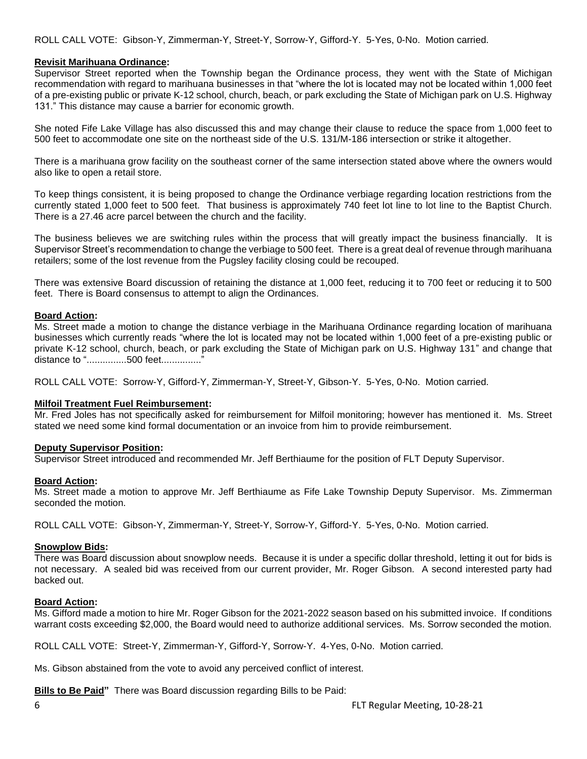## **Revisit Marihuana Ordinance:**

Supervisor Street reported when the Township began the Ordinance process, they went with the State of Michigan recommendation with regard to marihuana businesses in that "where the lot is located may not be located within 1,000 feet of a pre-existing public or private K-12 school, church, beach, or park excluding the State of Michigan park on U.S. Highway 131." This distance may cause a barrier for economic growth.

She noted Fife Lake Village has also discussed this and may change their clause to reduce the space from 1,000 feet to 500 feet to accommodate one site on the northeast side of the U.S. 131/M-186 intersection or strike it altogether.

There is a marihuana grow facility on the southeast corner of the same intersection stated above where the owners would also like to open a retail store.

To keep things consistent, it is being proposed to change the Ordinance verbiage regarding location restrictions from the currently stated 1,000 feet to 500 feet. That business is approximately 740 feet lot line to lot line to the Baptist Church. There is a 27.46 acre parcel between the church and the facility.

The business believes we are switching rules within the process that will greatly impact the business financially. It is Supervisor Street's recommendation to change the verbiage to 500 feet. There is a great deal of revenue through marihuana retailers; some of the lost revenue from the Pugsley facility closing could be recouped.

There was extensive Board discussion of retaining the distance at 1,000 feet, reducing it to 700 feet or reducing it to 500 feet. There is Board consensus to attempt to align the Ordinances.

#### **Board Action:**

Ms. Street made a motion to change the distance verbiage in the Marihuana Ordinance regarding location of marihuana businesses which currently reads "where the lot is located may not be located within 1,000 feet of a pre-existing public or private K-12 school, church, beach, or park excluding the State of Michigan park on U.S. Highway 131" and change that distance to "...............500 feet..............."

ROLL CALL VOTE: Sorrow-Y, Gifford-Y, Zimmerman-Y, Street-Y, Gibson-Y. 5-Yes, 0-No. Motion carried.

## **Milfoil Treatment Fuel Reimbursement:**

Mr. Fred Joles has not specifically asked for reimbursement for Milfoil monitoring; however has mentioned it. Ms. Street stated we need some kind formal documentation or an invoice from him to provide reimbursement.

#### **Deputy Supervisor Position:**

Supervisor Street introduced and recommended Mr. Jeff Berthiaume for the position of FLT Deputy Supervisor.

#### **Board Action:**

Ms. Street made a motion to approve Mr. Jeff Berthiaume as Fife Lake Township Deputy Supervisor. Ms. Zimmerman seconded the motion.

ROLL CALL VOTE: Gibson-Y, Zimmerman-Y, Street-Y, Sorrow-Y, Gifford-Y. 5-Yes, 0-No. Motion carried.

#### **Snowplow Bids:**

There was Board discussion about snowplow needs. Because it is under a specific dollar threshold, letting it out for bids is not necessary. A sealed bid was received from our current provider, Mr. Roger Gibson. A second interested party had backed out.

## **Board Action:**

Ms. Gifford made a motion to hire Mr. Roger Gibson for the 2021-2022 season based on his submitted invoice. If conditions warrant costs exceeding \$2,000, the Board would need to authorize additional services. Ms. Sorrow seconded the motion.

ROLL CALL VOTE: Street-Y, Zimmerman-Y, Gifford-Y, Sorrow-Y. 4-Yes, 0-No. Motion carried.

Ms. Gibson abstained from the vote to avoid any perceived conflict of interest.

**Bills to Be Paid"** There was Board discussion regarding Bills to be Paid: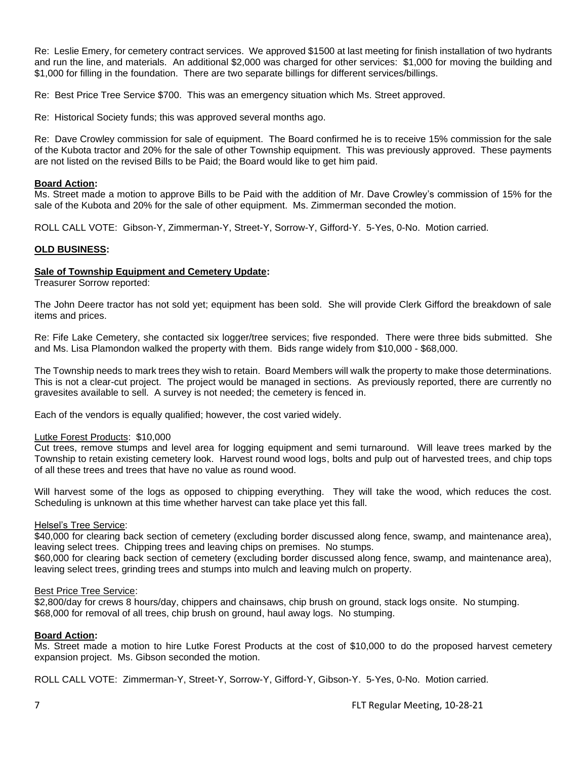Re: Leslie Emery, for cemetery contract services. We approved \$1500 at last meeting for finish installation of two hydrants and run the line, and materials. An additional \$2,000 was charged for other services: \$1,000 for moving the building and \$1,000 for filling in the foundation. There are two separate billings for different services/billings.

Re: Best Price Tree Service \$700. This was an emergency situation which Ms. Street approved.

Re: Historical Society funds; this was approved several months ago.

Re: Dave Crowley commission for sale of equipment. The Board confirmed he is to receive 15% commission for the sale of the Kubota tractor and 20% for the sale of other Township equipment. This was previously approved. These payments are not listed on the revised Bills to be Paid; the Board would like to get him paid.

## **Board Action:**

Ms. Street made a motion to approve Bills to be Paid with the addition of Mr. Dave Crowley's commission of 15% for the sale of the Kubota and 20% for the sale of other equipment. Ms. Zimmerman seconded the motion.

ROLL CALL VOTE: Gibson-Y, Zimmerman-Y, Street-Y, Sorrow-Y, Gifford-Y. 5-Yes, 0-No. Motion carried.

## **OLD BUSINESS:**

## **Sale of Township Equipment and Cemetery Update:**

Treasurer Sorrow reported:

The John Deere tractor has not sold yet; equipment has been sold. She will provide Clerk Gifford the breakdown of sale items and prices.

Re: Fife Lake Cemetery, she contacted six logger/tree services; five responded. There were three bids submitted. She and Ms. Lisa Plamondon walked the property with them. Bids range widely from \$10,000 - \$68,000.

The Township needs to mark trees they wish to retain. Board Members will walk the property to make those determinations. This is not a clear-cut project. The project would be managed in sections. As previously reported, there are currently no gravesites available to sell. A survey is not needed; the cemetery is fenced in.

Each of the vendors is equally qualified; however, the cost varied widely.

## Lutke Forest Products: \$10,000

Cut trees, remove stumps and level area for logging equipment and semi turnaround. Will leave trees marked by the Township to retain existing cemetery look. Harvest round wood logs, bolts and pulp out of harvested trees, and chip tops of all these trees and trees that have no value as round wood.

Will harvest some of the logs as opposed to chipping everything. They will take the wood, which reduces the cost. Scheduling is unknown at this time whether harvest can take place yet this fall.

## Helsel's Tree Service:

\$40,000 for clearing back section of cemetery (excluding border discussed along fence, swamp, and maintenance area), leaving select trees. Chipping trees and leaving chips on premises. No stumps.

\$60,000 for clearing back section of cemetery (excluding border discussed along fence, swamp, and maintenance area), leaving select trees, grinding trees and stumps into mulch and leaving mulch on property.

## Best Price Tree Service:

\$2,800/day for crews 8 hours/day, chippers and chainsaws, chip brush on ground, stack logs onsite. No stumping. \$68,000 for removal of all trees, chip brush on ground, haul away logs. No stumping.

## **Board Action:**

Ms. Street made a motion to hire Lutke Forest Products at the cost of \$10,000 to do the proposed harvest cemetery expansion project. Ms. Gibson seconded the motion.

ROLL CALL VOTE: Zimmerman-Y, Street-Y, Sorrow-Y, Gifford-Y, Gibson-Y. 5-Yes, 0-No. Motion carried.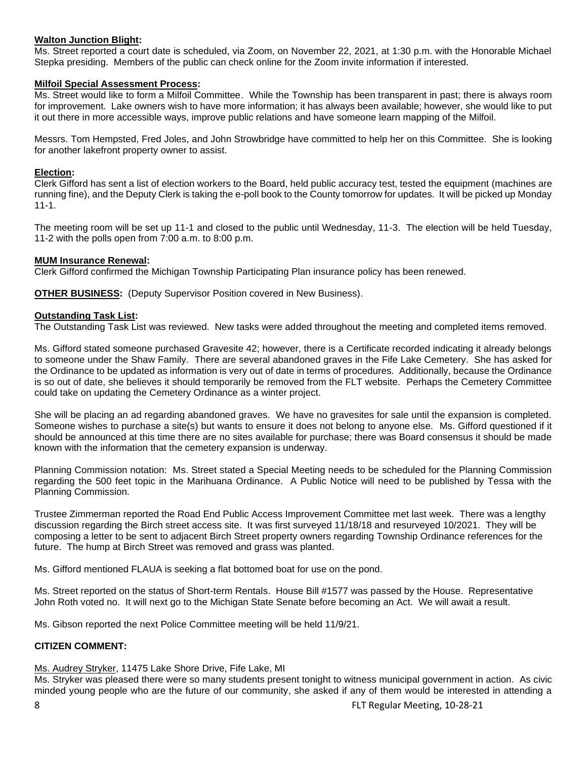## **Walton Junction Blight:**

Ms. Street reported a court date is scheduled, via Zoom, on November 22, 2021, at 1:30 p.m. with the Honorable Michael Stepka presiding. Members of the public can check online for the Zoom invite information if interested.

## **Milfoil Special Assessment Process:**

Ms. Street would like to form a Milfoil Committee. While the Township has been transparent in past; there is always room for improvement. Lake owners wish to have more information; it has always been available; however, she would like to put it out there in more accessible ways, improve public relations and have someone learn mapping of the Milfoil.

Messrs. Tom Hempsted, Fred Joles, and John Strowbridge have committed to help her on this Committee. She is looking for another lakefront property owner to assist.

## **Election:**

Clerk Gifford has sent a list of election workers to the Board, held public accuracy test, tested the equipment (machines are running fine), and the Deputy Clerk is taking the e-poll book to the County tomorrow for updates. It will be picked up Monday 11-1.

The meeting room will be set up 11-1 and closed to the public until Wednesday, 11-3. The election will be held Tuesday, 11-2 with the polls open from 7:00 a.m. to 8:00 p.m.

## **MUM Insurance Renewal:**

Clerk Gifford confirmed the Michigan Township Participating Plan insurance policy has been renewed.

**OTHER BUSINESS:** (Deputy Supervisor Position covered in New Business).

## **Outstanding Task List:**

The Outstanding Task List was reviewed. New tasks were added throughout the meeting and completed items removed.

Ms. Gifford stated someone purchased Gravesite 42; however, there is a Certificate recorded indicating it already belongs to someone under the Shaw Family. There are several abandoned graves in the Fife Lake Cemetery. She has asked for the Ordinance to be updated as information is very out of date in terms of procedures. Additionally, because the Ordinance is so out of date, she believes it should temporarily be removed from the FLT website. Perhaps the Cemetery Committee could take on updating the Cemetery Ordinance as a winter project.

She will be placing an ad regarding abandoned graves. We have no gravesites for sale until the expansion is completed. Someone wishes to purchase a site(s) but wants to ensure it does not belong to anyone else. Ms. Gifford questioned if it should be announced at this time there are no sites available for purchase; there was Board consensus it should be made known with the information that the cemetery expansion is underway.

Planning Commission notation: Ms. Street stated a Special Meeting needs to be scheduled for the Planning Commission regarding the 500 feet topic in the Marihuana Ordinance. A Public Notice will need to be published by Tessa with the Planning Commission.

Trustee Zimmerman reported the Road End Public Access Improvement Committee met last week. There was a lengthy discussion regarding the Birch street access site. It was first surveyed 11/18/18 and resurveyed 10/2021. They will be composing a letter to be sent to adjacent Birch Street property owners regarding Township Ordinance references for the future. The hump at Birch Street was removed and grass was planted.

Ms. Gifford mentioned FLAUA is seeking a flat bottomed boat for use on the pond.

Ms. Street reported on the status of Short-term Rentals. House Bill #1577 was passed by the House. Representative John Roth voted no. It will next go to the Michigan State Senate before becoming an Act. We will await a result.

Ms. Gibson reported the next Police Committee meeting will be held 11/9/21.

## **CITIZEN COMMENT:**

## Ms. Audrey Stryker, 11475 Lake Shore Drive, Fife Lake, MI

Ms. Stryker was pleased there were so many students present tonight to witness municipal government in action. As civic minded young people who are the future of our community, she asked if any of them would be interested in attending a